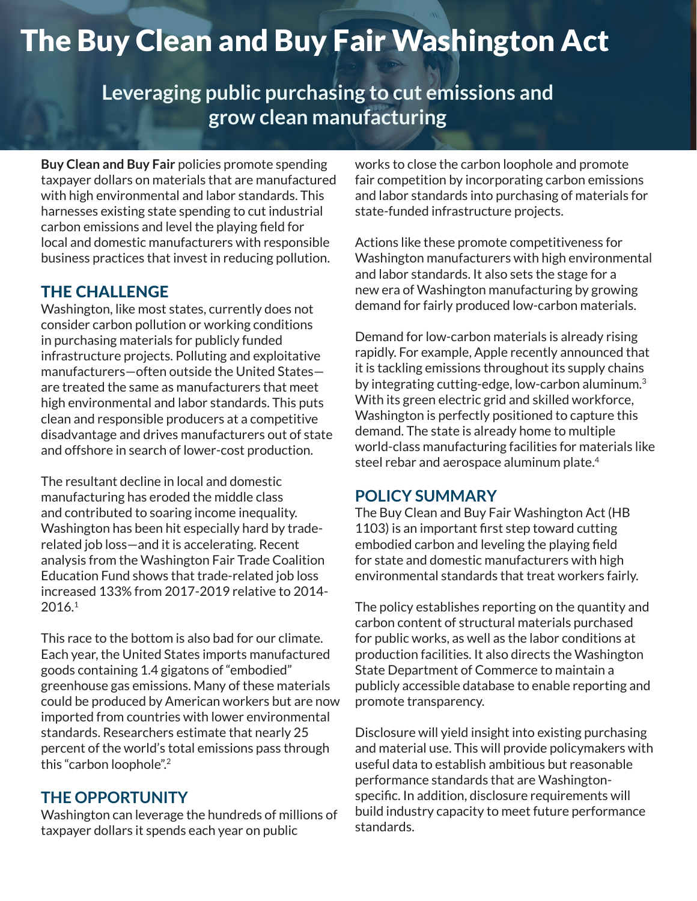# The Buy Clean and Buy Fair Washington Act

**Leveraging public purchasing to cut emissions and grow clean manufacturing**

**Buy Clean and Buy Fair** policies promote spending taxpayer dollars on materials that are manufactured with high environmental and labor standards. This harnesses existing state spending to cut industrial carbon emissions and level the playing field for local and domestic manufacturers with responsible business practices that invest in reducing pollution.

## THE CHALLENGE

Washington, like most states, currently does not consider carbon pollution or working conditions in purchasing materials for publicly funded infrastructure projects. Polluting and exploitative manufacturers—often outside the United States are treated the same as manufacturers that meet high environmental and labor standards. This puts clean and responsible producers at a competitive disadvantage and drives manufacturers out of state and offshore in search of lower-cost production.

The resultant decline in local and domestic manufacturing has eroded the middle class and contributed to soaring income inequality. Washington has been hit especially hard by traderelated job loss—and it is accelerating. Recent analysis from the Washington Fair Trade Coalition Education Fund shows that trade-related job loss increased 133% from 2017-2019 relative to 2014- 2016.1

This race to the bottom is also bad for our climate. Each year, the United States imports manufactured goods containing 1.4 gigatons of "embodied" greenhouse gas emissions. Many of these materials could be produced by American workers but are now imported from countries with lower environmental standards. Researchers estimate that nearly 25 percent of the world's total emissions pass through this "carbon loophole".2

## **THE OPPORTUNITY**

Washington can leverage the hundreds of millions of taxpayer dollars it spends each year on public

works to close the carbon loophole and promote fair competition by incorporating carbon emissions and labor standards into purchasing of materials for state-funded infrastructure projects.

Actions like these promote competitiveness for Washington manufacturers with high environmental and labor standards. It also sets the stage for a new era of Washington manufacturing by growing demand for fairly produced low-carbon materials.

Demand for low-carbon materials is already rising rapidly. For example, Apple recently announced that it is tackling emissions throughout its supply chains by integrating cutting-edge, low-carbon aluminum.<sup>3</sup> With its green electric grid and skilled workforce, Washington is perfectly positioned to capture this demand. The state is already home to multiple world-class manufacturing facilities for materials like steel rebar and aerospace aluminum plate.<sup>4</sup>

## **POLICY SUMMARY**

The Buy Clean and Buy Fair Washington Act (HB 1103) is an important first step toward cutting embodied carbon and leveling the playing field for state and domestic manufacturers with high environmental standards that treat workers fairly.

The policy establishes reporting on the quantity and carbon content of structural materials purchased for public works, as well as the labor conditions at production facilities. It also directs the Washington State Department of Commerce to maintain a publicly accessible database to enable reporting and promote transparency.

Disclosure will yield insight into existing purchasing and material use. This will provide policymakers with useful data to establish ambitious but reasonable performance standards that are Washingtonspecific. In addition, disclosure requirements will build industry capacity to meet future performance standards.